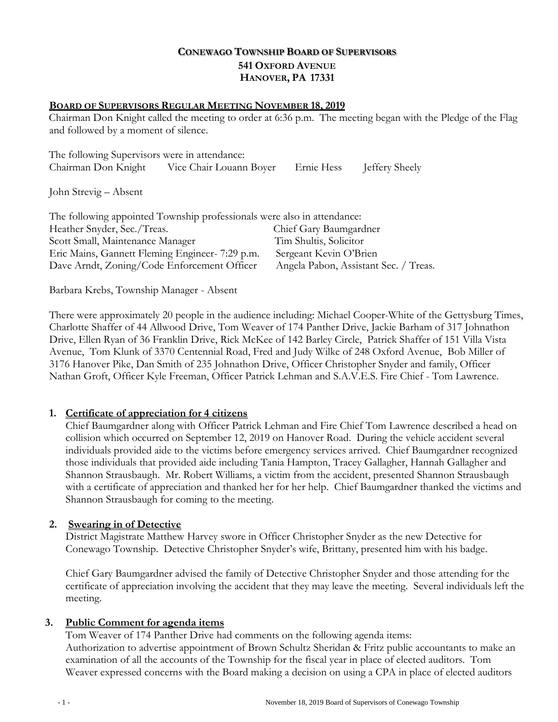# **CONEWAGO TOWNSHIP BOARD OF SUPERVISORS 541 OXFORD AVENUE HANOVER, PA 17331**

### **BOARD OF SUPERVISORS REGULAR MEETING NOVEMBER 18, 2019**

Chairman Don Knight called the meeting to order at 6:36 p.m. The meeting began with the Pledge of the Flag and followed by a moment of silence.

| The following Supervisors were in attendance: |                         |            |                |
|-----------------------------------------------|-------------------------|------------|----------------|
| Chairman Don Knight                           | Vice Chair Louann Boyer | Ernie Hess | Jeffery Sheely |

John Strevig – Absent

| The following appointed Township professionals were also in attendance: |                                       |  |
|-------------------------------------------------------------------------|---------------------------------------|--|
| Heather Snyder, Sec./Treas.                                             | Chief Gary Baumgardner                |  |
| Scott Small, Maintenance Manager                                        | Tim Shultis, Solicitor                |  |
| Eric Mains, Gannett Fleming Engineer- 7:29 p.m.                         | Sergeant Kevin O'Brien                |  |
| Dave Arndt, Zoning/Code Enforcement Officer                             | Angela Pabon, Assistant Sec. / Treas. |  |

Barbara Krebs, Township Manager - Absent

There were approximately 20 people in the audience including: Michael Cooper-White of the Gettysburg Times, Charlotte Shaffer of 44 Allwood Drive, Tom Weaver of 174 Panther Drive, Jackie Barham of 317 Johnathon Drive, Ellen Ryan of 36 Franklin Drive, Rick McKee of 142 Barley Circle, Patrick Shaffer of 151 Villa Vista Avenue, Tom Klunk of 3370 Centennial Road, Fred and Judy Wilke of 248 Oxford Avenue, Bob Miller of 3176 Hanover Pike, Dan Smith of 235 Johnathon Drive, Officer Christopher Snyder and family, Officer Nathan Groft, Officer Kyle Freeman, Officer Patrick Lehman and S.A.V.E.S. Fire Chief - Tom Lawrence.

### **1. Certificate of appreciation for 4 citizens**

Chief Baumgardner along with Officer Patrick Lehman and Fire Chief Tom Lawrence described a head on collision which occurred on September 12, 2019 on Hanover Road. During the vehicle accident several individuals provided aide to the victims before emergency services arrived. Chief Baumgardner recognized those individuals that provided aide including Tania Hampton, Tracey Gallagher, Hannah Gallagher and Shannon Strausbaugh. Mr. Robert Williams, a victim from the accident, presented Shannon Strausbaugh with a certificate of appreciation and thanked her for her help. Chief Baumgardner thanked the victims and Shannon Strausbaugh for coming to the meeting.

### **2. Swearing in of Detective**

District Magistrate Matthew Harvey swore in Officer Christopher Snyder as the new Detective for Conewago Township. Detective Christopher Snyder's wife, Brittany, presented him with his badge.

Chief Gary Baumgardner advised the family of Detective Christopher Snyder and those attending for the certificate of appreciation involving the accident that they may leave the meeting. Several individuals left the meeting.

### **3. Public Comment for agenda items**

Tom Weaver of 174 Panther Drive had comments on the following agenda items: Authorization to advertise appointment of Brown Schultz Sheridan & Fritz public accountants to make an examination of all the accounts of the Township for the fiscal year in place of elected auditors. Tom Weaver expressed concerns with the Board making a decision on using a CPA in place of elected auditors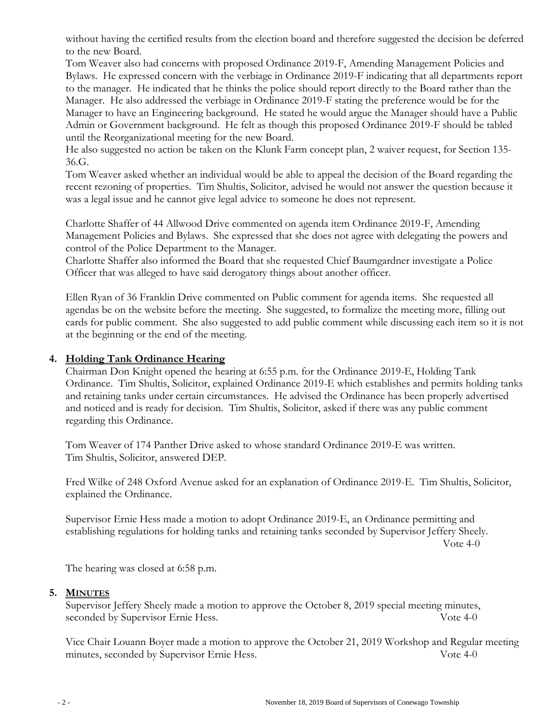without having the certified results from the election board and therefore suggested the decision be deferred to the new Board.

Tom Weaver also had concerns with proposed Ordinance 2019-F, Amending Management Policies and Bylaws. He expressed concern with the verbiage in Ordinance 2019-F indicating that all departments report to the manager. He indicated that he thinks the police should report directly to the Board rather than the Manager. He also addressed the verbiage in Ordinance 2019-F stating the preference would be for the Manager to have an Engineering background. He stated he would argue the Manager should have a Public Admin or Government background. He felt as though this proposed Ordinance 2019-F should be tabled until the Reorganizational meeting for the new Board.

He also suggested no action be taken on the Klunk Farm concept plan, 2 waiver request, for Section 135- 36.G.

Tom Weaver asked whether an individual would be able to appeal the decision of the Board regarding the recent rezoning of properties. Tim Shultis, Solicitor, advised he would not answer the question because it was a legal issue and he cannot give legal advice to someone he does not represent.

Charlotte Shaffer of 44 Allwood Drive commented on agenda item Ordinance 2019-F, Amending Management Policies and Bylaws. She expressed that she does not agree with delegating the powers and control of the Police Department to the Manager.

Charlotte Shaffer also informed the Board that she requested Chief Baumgardner investigate a Police Officer that was alleged to have said derogatory things about another officer.

Ellen Ryan of 36 Franklin Drive commented on Public comment for agenda items. She requested all agendas be on the website before the meeting. She suggested, to formalize the meeting more, filling out cards for public comment. She also suggested to add public comment while discussing each item so it is not at the beginning or the end of the meeting.

# **4. Holding Tank Ordinance Hearing**

Chairman Don Knight opened the hearing at 6:55 p.m. for the Ordinance 2019-E, Holding Tank Ordinance. Tim Shultis, Solicitor, explained Ordinance 2019-E which establishes and permits holding tanks and retaining tanks under certain circumstances. He advised the Ordinance has been properly advertised and noticed and is ready for decision. Tim Shultis, Solicitor, asked if there was any public comment regarding this Ordinance.

Tom Weaver of 174 Panther Drive asked to whose standard Ordinance 2019-E was written. Tim Shultis, Solicitor, answered DEP.

Fred Wilke of 248 Oxford Avenue asked for an explanation of Ordinance 2019-E. Tim Shultis, Solicitor, explained the Ordinance.

Supervisor Ernie Hess made a motion to adopt Ordinance 2019-E, an Ordinance permitting and establishing regulations for holding tanks and retaining tanks seconded by Supervisor Jeffery Sheely. Vote 4-0

The hearing was closed at 6:58 p.m.

### **5. MINUTES**

Supervisor Jeffery Sheely made a motion to approve the October 8, 2019 special meeting minutes, seconded by Supervisor Ernie Hess. Vote 4-0

Vice Chair Louann Boyer made a motion to approve the October 21, 2019 Workshop and Regular meeting minutes, seconded by Supervisor Ernie Hess. Vote 4-0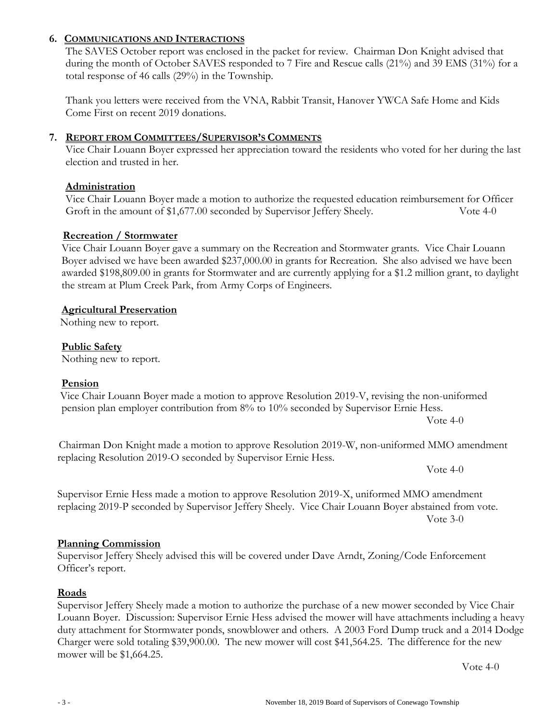### **6. COMMUNICATIONS AND INTERACTIONS**

The SAVES October report was enclosed in the packet for review. Chairman Don Knight advised that during the month of October SAVES responded to 7 Fire and Rescue calls (21%) and 39 EMS (31%) for a total response of 46 calls (29%) in the Township.

Thank you letters were received from the VNA, Rabbit Transit, Hanover YWCA Safe Home and Kids Come First on recent 2019 donations.

# **7. REPORT FROM COMMITTEES/SUPERVISOR'S COMMENTS**

Vice Chair Louann Boyer expressed her appreciation toward the residents who voted for her during the last election and trusted in her.

#### **Administration**

Vice Chair Louann Boyer made a motion to authorize the requested education reimbursement for Officer Groft in the amount of \$1,677.00 seconded by Supervisor Jeffery Sheely. Vote 4-0

#### **Recreation / Stormwater**

 Vice Chair Louann Boyer gave a summary on the Recreation and Stormwater grants. Vice Chair Louann Boyer advised we have been awarded \$237,000.00 in grants for Recreation. She also advised we have been awarded \$198,809.00 in grants for Stormwater and are currently applying for a \$1.2 million grant, to daylight the stream at Plum Creek Park, from Army Corps of Engineers.

#### **Agricultural Preservation**

Nothing new to report.

#### **Public Safety**

Nothing new to report.

#### **Pension**

Vice Chair Louann Boyer made a motion to approve Resolution 2019-V, revising the non-uniformed pension plan employer contribution from 8% to 10% seconded by Supervisor Ernie Hess.

Vote 4-0

 Chairman Don Knight made a motion to approve Resolution 2019-W, non-uniformed MMO amendment replacing Resolution 2019-O seconded by Supervisor Ernie Hess.

Vote 4-0

Supervisor Ernie Hess made a motion to approve Resolution 2019-X, uniformed MMO amendment replacing 2019-P seconded by Supervisor Jeffery Sheely. Vice Chair Louann Boyer abstained from vote. Vote 3-0

#### **Planning Commission**

Supervisor Jeffery Sheely advised this will be covered under Dave Arndt, Zoning/Code Enforcement Officer's report.

### **Roads**

Supervisor Jeffery Sheely made a motion to authorize the purchase of a new mower seconded by Vice Chair Louann Boyer. Discussion: Supervisor Ernie Hess advised the mower will have attachments including a heavy duty attachment for Stormwater ponds, snowblower and others. A 2003 Ford Dump truck and a 2014 Dodge Charger were sold totaling \$39,900.00. The new mower will cost \$41,564.25. The difference for the new mower will be \$1,664.25.

Vote 4-0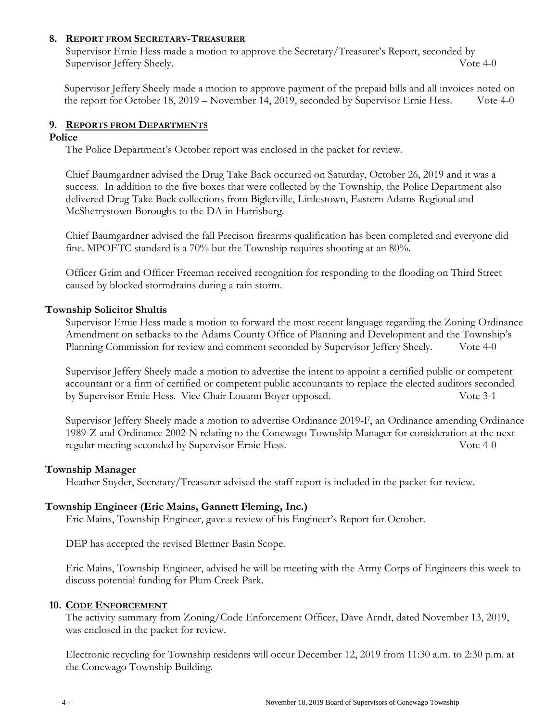### **8. REPORT FROM SECRETARY-TREASURER**

Supervisor Ernie Hess made a motion to approve the Secretary/Treasurer's Report, seconded by Supervisor Jeffery Sheely. Vote 4-0

Supervisor Jeffery Sheely made a motion to approve payment of the prepaid bills and all invoices noted on the report for October 18, 2019 – November 14, 2019, seconded by Supervisor Ernie Hess. Vote 4-0

### **9. REPORTS FROM DEPARTMENTS**

#### **Police**

The Police Department's October report was enclosed in the packet for review.

Chief Baumgardner advised the Drug Take Back occurred on Saturday, October 26, 2019 and it was a success. In addition to the five boxes that were collected by the Township, the Police Department also delivered Drug Take Back collections from Biglerville, Littlestown, Eastern Adams Regional and McSherrystown Boroughs to the DA in Harrisburg.

Chief Baumgardner advised the fall Precison firearms qualification has been completed and everyone did fine. MPOETC standard is a 70% but the Township requires shooting at an 80%.

Officer Grim and Officer Freeman received recognition for responding to the flooding on Third Street caused by blocked stormdrains during a rain storm.

#### **Township Solicitor Shultis**

Supervisor Ernie Hess made a motion to forward the most recent language regarding the Zoning Ordinance Amendment on setbacks to the Adams County Office of Planning and Development and the Township's Planning Commission for review and comment seconded by Supervisor Jeffery Sheely. Vote 4-0

Supervisor Jeffery Sheely made a motion to advertise the intent to appoint a certified public or competent accountant or a firm of certified or competent public accountants to replace the elected auditors seconded by Supervisor Ernie Hess. Vice Chair Louann Boyer opposed. Vote 3-1

Supervisor Jeffery Sheely made a motion to advertise Ordinance 2019-F, an Ordinance amending Ordinance 1989-Z and Ordinance 2002-N relating to the Conewago Township Manager for consideration at the next regular meeting seconded by Supervisor Ernie Hess. Vote 4-0

#### **Township Manager**

Heather Snyder, Secretary/Treasurer advised the staff report is included in the packet for review.

### **Township Engineer (Eric Mains, Gannett Fleming, Inc.)**

Eric Mains, Township Engineer, gave a review of his Engineer's Report for October.

DEP has accepted the revised Blettner Basin Scope.

Eric Mains, Township Engineer, advised he will be meeting with the Army Corps of Engineers this week to discuss potential funding for Plum Creek Park.

#### **10. CODE ENFORCEMENT**

The activity summary from Zoning/Code Enforcement Officer, Dave Arndt, dated November 13, 2019, was enclosed in the packet for review.

Electronic recycling for Township residents will occur December 12, 2019 from 11:30 a.m. to 2:30 p.m. at the Conewago Township Building.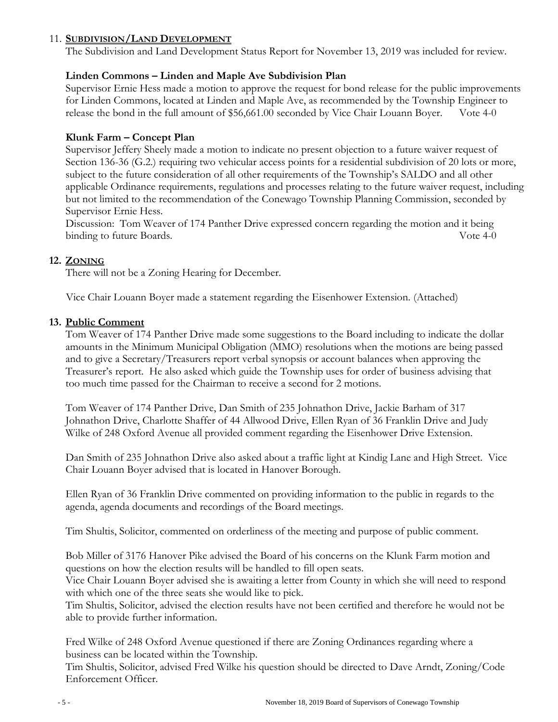# 11. **SUBDIVISION/LAND DEVELOPMENT**

The Subdivision and Land Development Status Report for November 13, 2019 was included for review.

# **Linden Commons – Linden and Maple Ave Subdivision Plan**

Supervisor Ernie Hess made a motion to approve the request for bond release for the public improvements for Linden Commons, located at Linden and Maple Ave, as recommended by the Township Engineer to release the bond in the full amount of \$56,661.00 seconded by Vice Chair Louann Boyer. Vote 4-0

# **Klunk Farm – Concept Plan**

Supervisor Jeffery Sheely made a motion to indicate no present objection to a future waiver request of Section 136-36 (G.2.) requiring two vehicular access points for a residential subdivision of 20 lots or more, subject to the future consideration of all other requirements of the Township's SALDO and all other applicable Ordinance requirements, regulations and processes relating to the future waiver request, including but not limited to the recommendation of the Conewago Township Planning Commission, seconded by Supervisor Ernie Hess.

Discussion: Tom Weaver of 174 Panther Drive expressed concern regarding the motion and it being binding to future Boards. The second second second second second values of  $\sim$  4-0

### **12. ZONING**

There will not be a Zoning Hearing for December.

Vice Chair Louann Boyer made a statement regarding the Eisenhower Extension. (Attached)

### **13. Public Comment**

Tom Weaver of 174 Panther Drive made some suggestions to the Board including to indicate the dollar amounts in the Minimum Municipal Obligation (MMO) resolutions when the motions are being passed and to give a Secretary/Treasurers report verbal synopsis or account balances when approving the Treasurer's report. He also asked which guide the Township uses for order of business advising that too much time passed for the Chairman to receive a second for 2 motions.

Tom Weaver of 174 Panther Drive, Dan Smith of 235 Johnathon Drive, Jackie Barham of 317 Johnathon Drive, Charlotte Shaffer of 44 Allwood Drive, Ellen Ryan of 36 Franklin Drive and Judy Wilke of 248 Oxford Avenue all provided comment regarding the Eisenhower Drive Extension.

 Dan Smith of 235 Johnathon Drive also asked about a traffic light at Kindig Lane and High Street. Vice Chair Louann Boyer advised that is located in Hanover Borough.

Ellen Ryan of 36 Franklin Drive commented on providing information to the public in regards to the agenda, agenda documents and recordings of the Board meetings.

Tim Shultis, Solicitor, commented on orderliness of the meeting and purpose of public comment.

 Bob Miller of 3176 Hanover Pike advised the Board of his concerns on the Klunk Farm motion and questions on how the election results will be handled to fill open seats.

 Vice Chair Louann Boyer advised she is awaiting a letter from County in which she will need to respond with which one of the three seats she would like to pick.

 Tim Shultis, Solicitor, advised the election results have not been certified and therefore he would not be able to provide further information.

 Fred Wilke of 248 Oxford Avenue questioned if there are Zoning Ordinances regarding where a business can be located within the Township.

Tim Shultis, Solicitor, advised Fred Wilke his question should be directed to Dave Arndt, Zoning/Code Enforcement Officer.